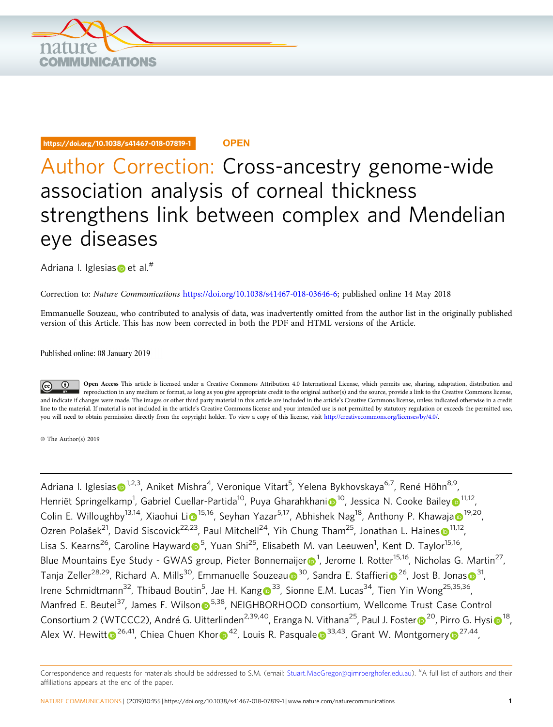

#### https://doi.org/10.1038/s41467-018-07819-1 **OPEN**

# Author Correction: Cross-ancestry genome-wide association analysis of corneal thickness strengthens link between complex and Mendelian eye diseases

Adriana I. Iglesi[as](http://orcid.org/0000-0001-5532-764X)  $\bullet$  et al.<sup>#</sup>

Correction to: Nature Communications <https://doi.org/10.1038/s41467-018-03646-6>; published online 14 May 2018

Emmanuelle Souzeau, who contributed to analysis of data, was inadvertently omitted from the author list in the originally published version of this Article. This has now been corrected in both the PDF and HTML versions of the Article.

Published online: 08 January 2019

Open Access This article is licensed under a Creative Commons Attribution 4.0 International License, which permits use, sharing, adaptation, distribution and  $\bigcirc$ reproduction in any medium or format, as long as you give appropriate credit to the original author(s) and the source, provide a link to the Creative Commons license, and indicate if changes were made. The images or other third party material in this article are included in the article's Creative Commons license, unless indicated otherwise in a credit line to the material. If material is not included in the article's Creative Commons license and your intended use is not permitted by statutory regulation or exceeds the permitted use, you will need to obtain permission directly from the copyright holder. To view a copy of this license, visit [http://creativecommons.org/licenses/by/4.0/.](http://creativecommons.org/licenses/by/4.0/)

© The Author(s) 2019

Adriana I. Igle[s](http://orcid.org/0000-0001-5532-764X)ias $\bm{\odot}^{1,2,3}$ , Aniket Mishra<sup>4</sup>, Veronique Vitart<sup>5</sup>, Yelena Bykhovskaya<sup>6,7</sup>, René Höhn<sup>8,9</sup>, Henr[i](http://orcid.org/0000-0002-4203-5952)ët Springelkamp<sup>1</sup>, Gabriel Cuellar-Partida<sup>10</sup>, Pu[y](http://orcid.org/0000-0002-4001-8702)a Gharahkhani⋒<sup>[1](http://orcid.org/0000-0002-4001-8702)0</sup>, Jessica N. Cooke Bailey⋒<sup>11,12</sup>, Colin E. Willoughby<sup>13,14</sup>, Xiaohui [Li](http://orcid.org/0000-0002-5037-3572)o<sup>[1](http://orcid.org/0000-0001-6802-8585)5,16</sup>, Seyh[a](http://orcid.org/0000-0001-6802-8585)n Yazar<sup>5,17</sup>, Abhishek Nag<sup>18</sup>, Anthony P. Khawaja <sup>19,20</sup>, Ozren Polašek<[s](http://orcid.org/0000-0002-4351-4728)up>2[1](http://orcid.org/0000-0002-4351-4728)</sup>, David Siscovick<sup>22,23</sup>, Paul Mitchell<sup>24</sup>, Yih Chung Tham<sup>25</sup>, Jonathan L. Haines <sup>11,12</sup>, Lisa S. Kearns<sup>26</sup>, Caroline Haywar[d](http://orcid.org/0000-0002-9405-9550) D<sup>5</sup>, Yuan Shi<sup>25</sup>, Elisabeth M. van Leeuwen<sup>1</sup>, Kent D. Taylor<sup>15,16</sup>, Blue Mountains Eye Study - GWAS g[r](http://orcid.org/0000-0001-5154-6765)oup, Pieter Bonnemaijer $\bigcirc$ <sup>1</sup>, Jerome I. Rotter<sup>15,16</sup>, Nicholas G. Martin<sup>27</sup>, Tanja Zeller<s[u](http://orcid.org/0000-0002-2015-6577)p>28,29</sup>, Richard A. Mills<sup>[3](http://orcid.org/0000-0003-2972-5227)0</sup>, Emmanuelle Souzeau <sup>30</sup>, Sandra E. Staff[i](http://orcid.org/0000-0003-3131-9359)eri <[s](http://orcid.org/0000-0003-2972-5227)up>26</sup>, Jost B. Jonas <sup>31</sup>, Irene Schmidtmann<sup>32</sup>, Thibaud Boutin<sup>5</sup>, Jae H. Kan[g](http://orcid.org/0000-0003-4812-0557) <sup>33</sup>, Sionne E.M. Lucas<sup>34</sup>, Tien Yin Wong<sup>25,35,36</sup>, Ma[n](http://orcid.org/0000-0001-5751-9178)fred E. Beutel<sup>37</sup>, James F. Wilson <sup>5,38</sup>, NEIGHBORHOOD consortium, Wellcome Trust Case Control Conso[r](http://orcid.org/0000-0002-4755-177X)tium [2](http://orcid.org/0000-0002-4755-177X) (WTCCC2), André G. Uitterlinden<sup>2,39,40</sup>, Eranga N. Vithana<sup>25</sup>, Paul J. Foster <sup>20</sup>, Pirro G. Hy[si](http://orcid.org/0000-0001-5752-2510) <sup>[1](http://orcid.org/0000-0001-5752-2510)8</sup>, Alex W. Hewi[t](http://orcid.org/0000-0002-5123-5999)t  $\odot^{26,41}$  $\odot^{26,41}$  $\odot^{26,41}$ , Chiea Chuen Kho[r](http://orcid.org/0000-0002-1128-4729)  $\odot^{42}$ , Louis R. Pasqual[e](http://orcid.org/0000-0002-5835-3496)  $\odot^{33,43}$  $\odot^{33,43}$  $\odot^{33,43}$ , Grant W. Montgomer[y](http://orcid.org/0000-0002-4140-8139)  $\odot^{27,44}$ ,

Correspondence and requests for materials should be addressed to S.M. (email: [Stuart.MacGregor@qimrberghofer.edu.au](mailto:Stuart.MacGregor@qimrberghofer.edu.au)). <sup>#</sup>A full list of authors and their affiliations appears at the end of the paper.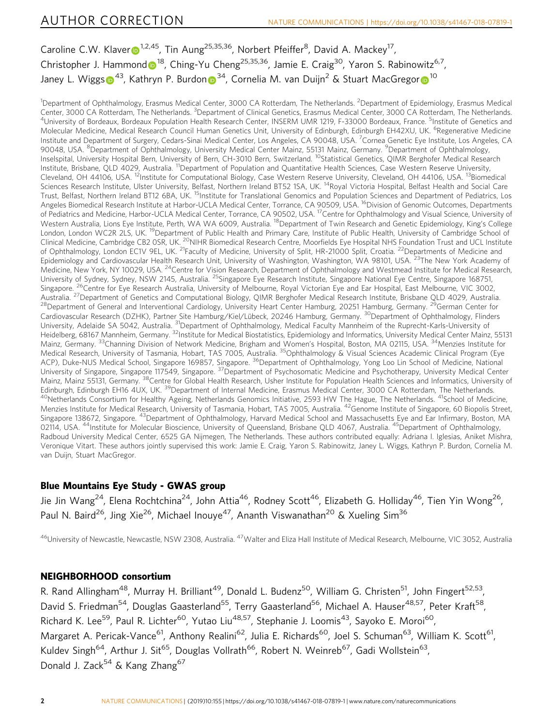Ca[r](http://orcid.org/0000-0002-2355-5258)oline C.W. Klaver <sup>1,2,45</sup>, Tin Aung<sup>25,35,36</sup>, Norbert Pfeiffer<sup>8</sup>, David A. Mackey<sup>17</sup>, Christopher J. Hammon[d](http://orcid.org/0000-0002-3227-2620)  $\bullet^{18}$ , Ching-Yu Cheng<sup>25,35,36</sup>, Jamie E. Craig<sup>30</sup>, Yaron S. Rabinowitz<sup>6,7</sup>, Janey L. Wigg[s](http://orcid.org/0000-0003-1890-3278)  $\bullet^{43}$  $\bullet^{43}$  $\bullet^{43}$  $\bullet^{43}$ , Kathry[n](http://orcid.org/0000-0001-8217-1249) P. Bu[r](http://orcid.org/0000-0001-6731-8142)don  $\bullet^{34}$ , Cornelia M. van Duijn<sup>2</sup> & Stuart MacGregor  $\bullet^{10}$ 

<sup>1</sup>Department of Ophthalmology, Erasmus Medical Center, 3000 CA Rotterdam, The Netherlands. <sup>2</sup>Department of Epidemiology, Erasmus Medical Center, 3000 CA Rotterdam, The Netherlands. <sup>3</sup>Department of Clinical Genetics, Erasmus Medical Center, 3000 CA Rotterdam, The Netherlands.<br><sup>4</sup>University of Bordeaux, Bordeaux Population Health Research Center, INSERM UMR University of Bordeaux, Bordeaux Population Health Research Center, INSERM UMR 1219, F-33000 Bordeaux, France. <sup>5</sup>Institute of Genetics and Molecular Medicine, Medical Research Council Human Genetics Unit, University of Edinburgh, Edinburgh EH42XU, UK. <sup>6</sup>Regenerative Medicine Institute and Department of Surgery, Cedars-Sinai Medical Center, Los Angeles, CA 90048, USA. <sup>7</sup>Cornea Genetic Eye Institute, Los Angeles, CA 90048, USA. <sup>8</sup>Department of Ophthalmology, University Medical Center Mainz, 55131 Mainz, Germany. <sup>9</sup>Department of Ophthalmology, Inselspital, University Hospital Bern, University of Bern, CH-3010 Bern, Switzerland. <sup>10</sup>Statistical Genetics, QIMR Berghofer Medical Research Institute, Brisbane, QLD 4029, Australia. 11Department of Population and Quantitative Health Sciences, Case Western Reserve University, Cleveland, OH 44106, USA. <sup>12</sup>Institute for Computational Biology, Case Western Reserve University, Cleveland, OH 44106, USA. <sup>13</sup>Biomedical Sciences Research Institute, Ulster University, Belfast, Northern Ireland BT52 1SA, UK.<sup>14</sup>Royal Victoria Hospital, Belfast Health and Social Care Trust, Belfast, Northern Ireland BT12 6BA, UK. <sup>15</sup>Institute for Translational Genomics and Population Sciences and Department of Pediatrics, Los Angeles Biomedical Research Institute at Harbor-UCLA Medical Center, Torrance, CA 90509, USA. <sup>16</sup>Division of Genomic Outcomes, Departments of Pediatrics and Medicine, Harbor-UCLA Medical Center, Torrance, CA 90502, USA.<sup>17</sup>Centre for Ophthalmology and Visual Science, University of Western Australia, Lions Eye Institute, Perth, WA WA 6009, Australia. <sup>18</sup>Department of Twin Research and Genetic Epidemiology, King's College London, London WC2R 2LS, UK.<sup>19</sup>Department of Public Health and Primary Care, Institute of Public Health, University of Cambridge School of Clinical Medicine, Cambridge CB2 OSR, UK.<sup>20</sup>NIHR Biomedical Research Centre, Moorfields Eye Hospital NHS Foundation Trust and UCL Institute of Ophthalmology, London EC1V 9EL, UK. <sup>21</sup>Faculty of Medicine, University of Split, HR-21000 Split, Croatia. <sup>22</sup>Departments of Medicine and Epidemiology and Cardiovascular Health Research Unit, University of Washington, Washington, WA 98101, USA. <sup>23</sup>The New York Academy of Medicine, New York, NY 10029, USA. <sup>24</sup>Centre for Vision Research, Department of Ophthalmology and Westmead Institute for Medical Research, University of Sydney, Sydney, NSW 2145, Australia. <sup>25</sup>Singapore Eye Research Institute, Singapore National Eye Centre, Singapore 168751, Singapore. <sup>26</sup>Centre for Eye Research Australia, University of Melbourne, Royal Victorian Eye and Ear Hospital, East Melbourne, VIC 3002,<br>Australia. <sup>27</sup>Department of Genetics and Computational Biology, QIMR Berghofer Med <sup>28</sup>Department of General and Interventional Cardiology, University Heart Center Hamburg, 20251 Hamburg, Germany. <sup>29</sup>German Center for Cardiovascular Research (DZHK), Partner Site Hamburg/Kiel/Lübeck, 20246 Hamburg, Germany. 30Department of Ophthalmology, Flinders University, Adelaide SA 5042, Australia. <sup>31</sup>Department of Ophthalmology, Medical Faculty Mannheim of the Ruprecht-Karls-University of Heidelberg, 68167 Mannheim, Germany. <sup>32</sup>Institute for Medical Biostatistics, Epidemiology and Informatics, University Medical Center Mainz, 55131 Mainz, Germany. <sup>33</sup>Channing Division of Network Medicine, Brigham and Women's Hospital, Boston, MA 02115, USA. <sup>34</sup>Menzies Institute for Medical Research, University of Tasmania, Hobart, TAS 7005, Australia. <sup>35</sup>Ophthalmology & Visual Sciences Academic Clinical Program (Eye ACP), Duke-NUS Medical School, Singapore 169857, Singapore. <sup>36</sup>Department of Ophthalmology, Yong Loo Lin School of Medicine, National University of Singapore, Singapore 117549, Singapore. <sup>37</sup>Department of Psychosomatic Medicine and Psychotherapy, University Medical Center Mainz, Mainz 55131, Germany. <sup>38</sup>Centre for Global Health Research, Usher Institute for Population Health Sciences and Informatics, University of Edinburgh, Edinburgh EH16 4UX, UK. <sup>39</sup>Department of Internal Medicine, Erasmus Medical Center, 3000 CA Rotterdam, The Netherlands.<br><sup>40</sup>Netherlands Consortium for Healthy Ageing, Netherlands Genomics Initiative, 2593 HW Th Menzies Institute for Medical Research, University of Tasmania, Hobart, TAS 7005, Australia. <sup>42</sup>Genome Institute of Singapore, 60 Biopolis Street, Singapore 138672, Singapore. <sup>43</sup>Department of Ophthalmology, Harvard Medical School and Massachusetts Eye and Ear Infirmary, Boston, MA 02114, USA. <sup>44</sup>Institute for Molecular Bioscience, University of Queensland, Brisbane QLD 4067, Australia. <sup>45</sup>Department of Ophthalmology, Radboud University Medical Center, 6525 GA Nijmegen, The Netherlands. These authors contributed equally: Adriana I. Iglesias, Aniket Mishra, Veronique Vitart. These authors jointly supervised this work: Jamie E. Craig, Yaron S. Rabinowitz, Janey L. Wiggs, Kathryn P. Burdon, Cornelia M. van Duijn, Stuart MacGregor.

## Blue Mountains Eye Study - GWAS group

Jie Jin Wang<sup>24</sup>, Elena Rochtchina<sup>24</sup>, John Attia<sup>46</sup>, Rodney Scott<sup>46</sup>, Elizabeth G. Holliday<sup>46</sup>, Tien Yin Wong<sup>26</sup>, Paul N. Baird<sup>26</sup>, Jing Xie<sup>26</sup>, Michael Inouve<sup>47</sup>, Ananth Viswanathan<sup>20</sup> & Xueling Sim<sup>36</sup>

<sup>46</sup>University of Newcastle, Newcastle, NSW 2308, Australia. <sup>47</sup>Walter and Eliza Hall Institute of Medical Research, Melbourne, VIC 3052, Australia

## NEIGHBORHOOD consortium

R. Rand Allingham<sup>48</sup>, Murray H. Brilliant<sup>49</sup>, Donald L. Budenz<sup>50</sup>, William G. Christen<sup>51</sup>, John Fingert<sup>52,53</sup>, David S. Friedman<sup>54</sup>, Douglas Gaasterland<sup>55</sup>, Terry Gaasterland<sup>56</sup>, Michael A. Hauser<sup>48,57</sup>, Peter Kraft<sup>58</sup>, Richard K. Lee<sup>59</sup>, Paul R. Lichter<sup>60</sup>, Yutao Liu<sup>48,57</sup>, Stephanie J. Loomis<sup>43</sup>, Sayoko E. Moroi<sup>60</sup>, Margaret A. Pericak-Vance<sup>61</sup>, Anthony Realini<sup>62</sup>, Julia E. Richards<sup>60</sup>, Joel S. Schuman<sup>63</sup>, William K. Scott<sup>61</sup>, Kuldev Singh<sup>64</sup>, Arthur J. Sit<sup>65</sup>, Douglas Vollrath<sup>66</sup>, Robert N. Weinreb<sup>67</sup>, Gadi Wollstein<sup>63</sup>, Donald J. Zack<sup>54</sup> & Kang Zhang<sup>67</sup>